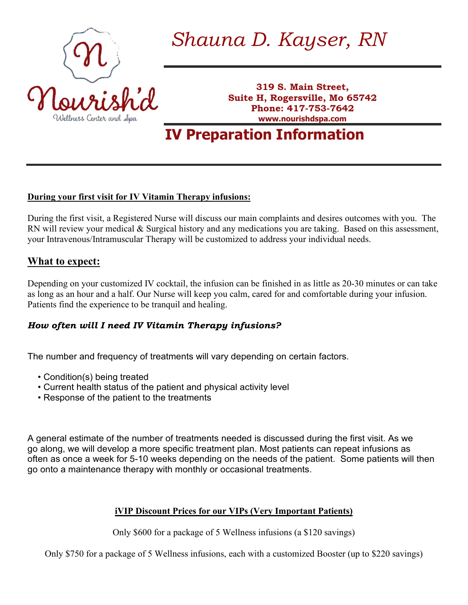

# *Shauna D. Kayser, RN*

**319 S. Main Street, Suite H, Rogersville, Mo 65742 Phone: 417-753-7642 www.nourishdspa.com**

**IV Preparation Information**

### **During your first visit for IV Vitamin Therapy infusions:**

During the first visit, a Registered Nurse will discuss our main complaints and desires outcomes with you. The RN will review your medical & Surgical history and any medications you are taking. Based on this assessment, your Intravenous/Intramuscular Therapy will be customized to address your individual needs.

## **What to expect:**

Depending on your customized IV cocktail, the infusion can be finished in as little as 20-30 minutes or can take as long as an hour and a half. Our Nurse will keep you calm, cared for and comfortable during your infusion. Patients find the experience to be tranquil and healing.

## *How often will I need IV Vitamin Therapy infusions?*

The number and frequency of treatments will vary depending on certain factors.

- Condition(s) being treated
- Current health status of the patient and physical activity level
- Response of the patient to the treatments

A general estimate of the number of treatments needed is discussed during the first visit. As we go along, we will develop a more specific treatment plan. Most patients can repeat infusions as often as once a week for 5-10 weeks depending on the needs of the patient. Some patients will then go onto a maintenance therapy with monthly or occasional treatments.

## **iVIP Discount Prices for our VIPs (Very Important Patients)**

Only \$600 for a package of 5 Wellness infusions (a \$120 savings)

Only \$750 for a package of 5 Wellness infusions, each with a customized Booster (up to \$220 savings)